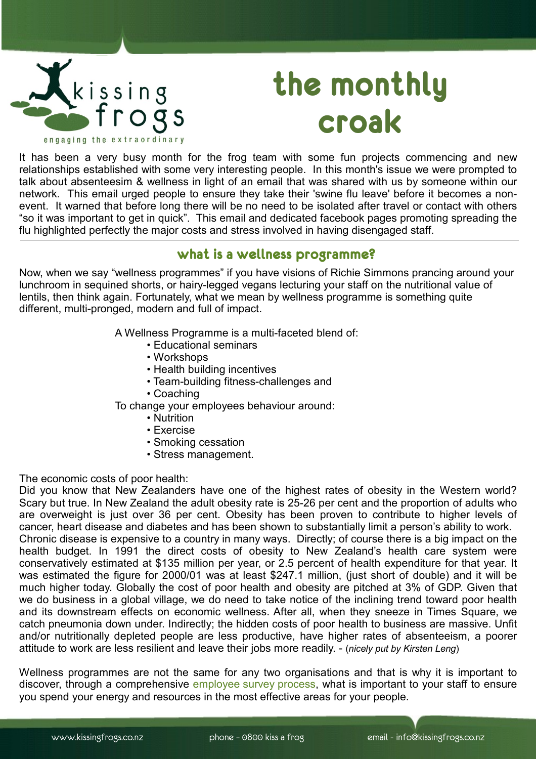

## **the monthly croak**

It has been a very busy month for the frog team with some fun projects commencing and new relationships established with some very interesting people. In this month's issue we were prompted to talk about absenteesim & wellness in light of an email that was shared with us by someone within our network. This email urged people to ensure they take their 'swine flu leave' before it becomes a nonevent. It warned that before long there will be no need to be isolated after travel or contact with others "so it was important to get in quick". This email and dedicated facebook pages promoting spreading the flu highlighted perfectly the major costs and stress involved in having disengaged staff.

## **what is a wellness programme?**

Now, when we say "wellness programmes" if you have visions of Richie Simmons prancing around your lunchroom in sequined shorts, or hairy-legged vegans lecturing your staff on the nutritional value of lentils, then think again. Fortunately, what we mean by wellness programme is something quite different, multi-pronged, modern and full of impact.

A Wellness Programme is a multi-faceted blend of:

- Educational seminars
- Workshops
- Health building incentives
- Team-building fitness-challenges and
- Coaching

To change your employees behaviour around:

- Nutrition
- Exercise
- Smoking cessation
- Stress management.

The economic costs of poor health:

Did you know that New Zealanders have one of the highest rates of obesity in the Western world? Scary but true. In New Zealand the adult obesity rate is 25-26 per cent and the proportion of adults who are overweight is just over 36 per cent. Obesity has been proven to contribute to higher levels of cancer, heart disease and diabetes and has been shown to substantially limit a person's ability to work. Chronic disease is expensive to a country in many ways. Directly; of course there is a big impact on the health budget. In 1991 the direct costs of obesity to New Zealand's health care system were conservatively estimated at \$135 million per year, or 2.5 percent of health expenditure for that year. It was estimated the figure for 2000/01 was at least \$247.1 million, (just short of double) and it will be much higher today. Globally the cost of poor health and obesity are pitched at 3% of GDP. Given that we do business in a global village, we do need to take notice of the inclining trend toward poor health and its downstream effects on economic wellness. After all, when they sneeze in Times Square, we catch pneumonia down under. Indirectly; the hidden costs of poor health to business are massive. Unfit and/or nutritionally depleted people are less productive, have higher rates of absenteeism, a poorer attitude to work are less resilient and leave their jobs more readily. - (*nicely put by Kirsten Leng*)

Wellness programmes are not the same for any two organisations and that is why it is important to discover, through a comprehensive [employee survey process,](http://www.kissingfrogs.co.nz/StepsToActiveEngagement.aspx) what is important to your staff to ensure you spend your energy and resources in the most effective areas for your people.